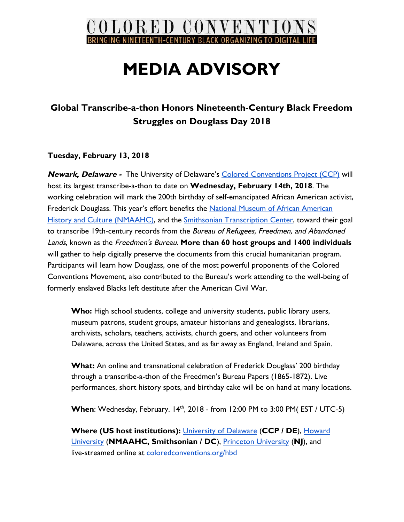

# **MEDIA ADVISORY**

## **Global Transcribe-a-thon Honors Nineteenth-Century Black Freedom Struggles on Douglass Day 2018**

### **Tuesday, February 13, 2018**

**Newark, Delaware -** The University of Delaware's [Colored Conventions Project \(CCP\)](http://coloredconventions.org/) will host its largest transcribe-a-thon to date on **Wednesday, February 14th, 2018**. The working celebration will mark the 200th birthday of self-emancipated African American activist, Frederick Douglass. This year's effort benefits the [National Museum of African American](https://nmaahc.si.edu/explore/initiatives/smithsonian-transcription-center) [History and Culture \(NMAAHC\)](https://nmaahc.si.edu/explore/initiatives/smithsonian-transcription-center), and the [Smithsonian Transcription Center](https://transcription.si.edu/instructions-freedmens-bureau), toward their goal to transcribe 19th-century records from the Bureau of Refugees, Freedmen, and Abandoned Lands, known as the Freedmen's Bureau. **More than 60 host groups and 1400 individuals** will gather to help digitally preserve the documents from this crucial humanitarian program. Participants will learn how Douglass, one of the most powerful proponents of the Colored Conventions Movement, also contributed to the Bureau's work attending to the well-being of formerly enslaved Blacks left destitute after the American Civil War.

**Who:** High school students, college and university students, public library users, museum patrons, student groups, amateur historians and genealogists, librarians, archivists, scholars, teachers, activists, church goers, and other volunteers from Delaware, across the United States, and as far away as England, Ireland and Spain.

**What:** An online and transnational celebration of Frederick Douglass' 200 birthday through a transcribe-a-thon of the Freedmen's Bureau Papers (1865-1872). Live performances, short history spots, and birthday cake will be on hand at many locations.

**When**: Wednesday, February. 14<sup>th</sup>, 2018 - from 12:00 PM to 3:00 PM( EST / UTC-5)

**Where (US host institutions):** [University of Delaware](http://www.udel.edu/) (**CCP / DE**), [Howard](https://www2.howard.edu/) [University](https://www2.howard.edu/) (**NMAAHC, Smithsonian / DC**), [Princeton University](https://www.princeton.edu/) (**NJ**), and live-streamed online at [coloredconventions.org/hbd](http://coloredconventions.org/hbd)